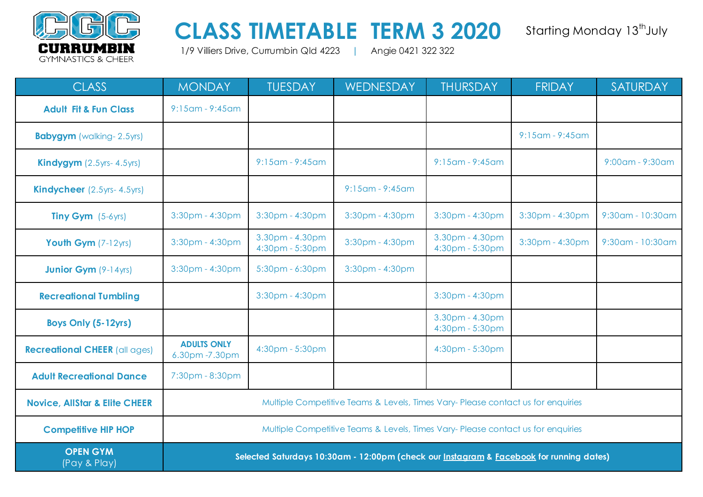

## CLASS TIMETABLE TERM 3 2020 Starting Monday 13<sup>th</sup> July

1/9 Villiers Drive, Currumbin Qld 4223 **|** Angie 0421 322 322

| <b>CLASS</b>                             | <b>MONDAY</b>                                                                    | <b>TUESDAY</b>                     | WEDNESDAY                                                                               | <b>THURSDAY</b>                    | <b>FRIDAY</b>         | SATURDAY         |
|------------------------------------------|----------------------------------------------------------------------------------|------------------------------------|-----------------------------------------------------------------------------------------|------------------------------------|-----------------------|------------------|
| <b>Adult Fit &amp; Fun Class</b>         | $9:15$ am - $9:45$ am                                                            |                                    |                                                                                         |                                    |                       |                  |
| <b>Babygym</b> (walking-2.5yrs)          |                                                                                  |                                    |                                                                                         |                                    | $9:15$ am - $9:45$ am |                  |
| <b>Kindygym</b> $(2.5yrs-4.5yrs)$        |                                                                                  | $9:15$ am - $9:45$ am              |                                                                                         | $9:15$ am - $9:45$ am              |                       | 9:00am - 9:30am  |
| Kindycheer (2.5yrs- 4.5yrs)              |                                                                                  |                                    | $9:15$ am - $9:45$ am                                                                   |                                    |                       |                  |
| <b>Tiny Gym</b> $(5-6yrs)$               | $3:30$ pm - $4:30$ pm                                                            | $3:30$ pm - $4:30$ pm              | $3:30$ pm - $4:30$ pm                                                                   | 3:30pm - 4:30pm                    | 3:30pm - 4:30pm       | 9:30am - 10:30am |
| Youth Gym (7-12yrs)                      | 3:30pm - 4:30pm                                                                  | 3.30pm - 4.30pm<br>4:30pm - 5:30pm | 3:30pm - 4:30pm                                                                         | 3.30pm - 4.30pm<br>4:30pm - 5:30pm | 3:30pm - 4:30pm       | 9:30am - 10:30am |
| <b>Junior Gym</b> (9-14yrs)              | 3:30pm - 4:30pm                                                                  | 5:30pm - 6:30pm                    | 3:30pm - 4:30pm                                                                         |                                    |                       |                  |
| <b>Recreational Tumbling</b>             |                                                                                  | 3:30pm - 4:30pm                    |                                                                                         | 3:30pm - 4:30pm                    |                       |                  |
| Boys Only (5-12yrs)                      |                                                                                  |                                    |                                                                                         | 3.30pm - 4.30pm<br>4:30pm - 5:30pm |                       |                  |
| <b>Recreational CHEER (all ages)</b>     | <b>ADULTS ONLY</b><br>6.30pm - 7.30pm                                            | 4:30pm - 5:30pm                    |                                                                                         | 4:30pm - 5:30pm                    |                       |                  |
| <b>Adult Recreational Dance</b>          | 7:30pm - 8:30pm                                                                  |                                    |                                                                                         |                                    |                       |                  |
| <b>Novice, AllStar &amp; Elite CHEER</b> | Multiple Competitive Teams & Levels, Times Vary- Please contact us for enquiries |                                    |                                                                                         |                                    |                       |                  |
| <b>Competitive HIP HOP</b>               | Multiple Competitive Teams & Levels, Times Vary- Please contact us for enquiries |                                    |                                                                                         |                                    |                       |                  |
| <b>OPEN GYM</b><br>(Pay & Play)          |                                                                                  |                                    | Selected Saturdays 10:30am - 12:00pm (check our Instagram & Facebook for running dates) |                                    |                       |                  |